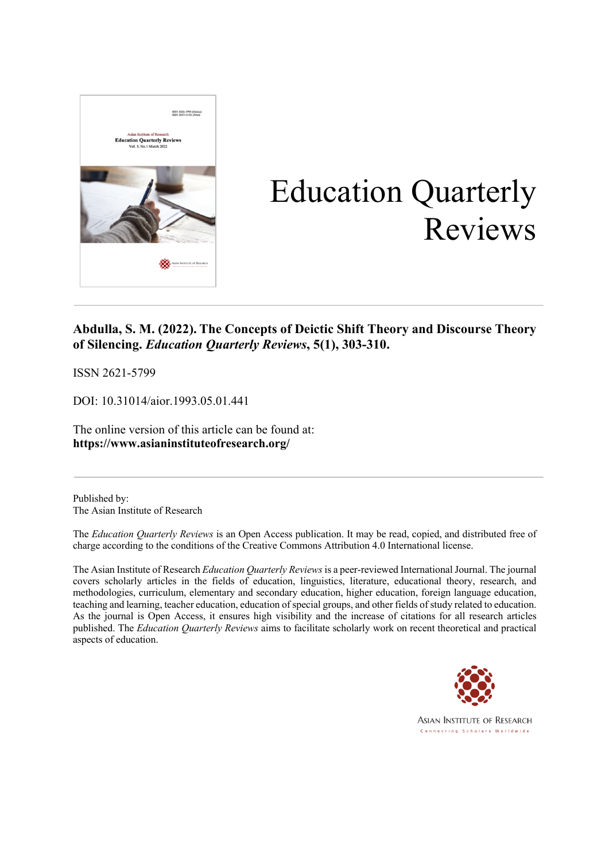

# Education Quarterly Reviews

### **Abdulla, S. M. (2022). The Concepts of Deictic Shift Theory and Discourse Theory of Silencing.** *Education Quarterly Reviews***, 5(1), 303-310.**

ISSN 2621-5799

DOI: 10.31014/aior.1993.05.01.441

The online version of this article can be found at: **https://www.asianinstituteofresearch.org/**

Published by: The Asian Institute of Research

The *Education Quarterly Reviews* is an Open Access publication. It may be read, copied, and distributed free of charge according to the conditions of the Creative Commons Attribution 4.0 International license.

The Asian Institute of Research *Education Quarterly Reviews* is a peer-reviewed International Journal. The journal covers scholarly articles in the fields of education, linguistics, literature, educational theory, research, and methodologies, curriculum, elementary and secondary education, higher education, foreign language education, teaching and learning, teacher education, education of special groups, and other fields of study related to education. As the journal is Open Access, it ensures high visibility and the increase of citations for all research articles published. The *Education Quarterly Reviews* aims to facilitate scholarly work on recent theoretical and practical aspects of education.

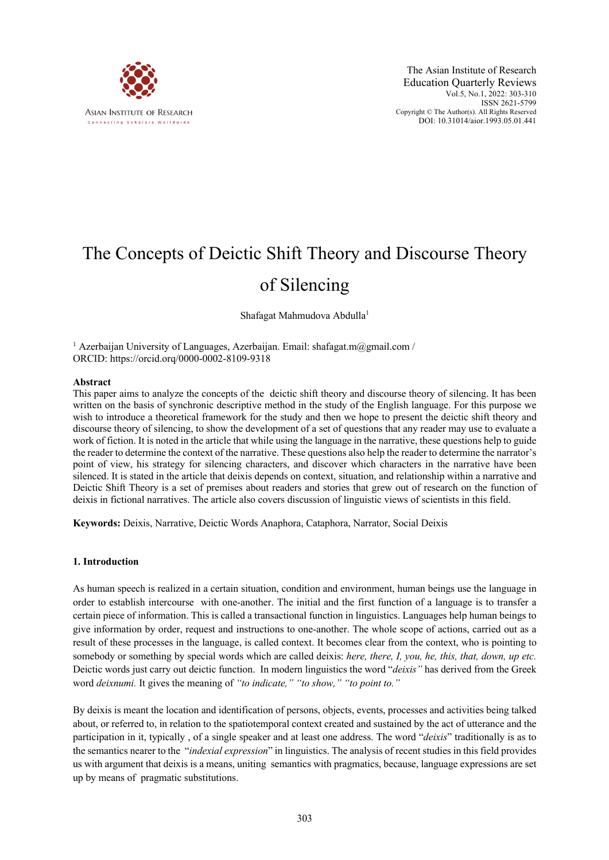

## The Concepts of Deictic Shift Theory and Discourse Theory of Silencing

Shafagat Mahmudova Abdulla<sup>1</sup>

<sup>1</sup> Azerbaijan University of Languages, Azerbaijan. Email: shafagat.m@gmail.com / ORCID: https://orcid.orq/0000-0002-8109-9318

#### **Abstract**

This paper aims to analyze the concepts of the deictic shift theory and discourse theory of silencing. It has been written on the basis of synchronic descriptive method in the study of the English language. For this purpose we wish to introduce a theoretical framework for the study and then we hope to present the deictic shift theory and discourse theory of silencing, to show the development of a set of questions that any reader may use to evaluate a work of fiction. It is noted in the article that while using the language in the narrative, these questions help to guide the reader to determine the context of the narrative. These questions also help the reader to determine the narrator's point of view, his strategy for silencing characters, and discover which characters in the narrative have been silenced. It is stated in the article that deixis depends on context, situation, and relationship within a narrative and Deictic Shift Theory is a set of premises about readers and stories that grew out of research on the function of deixis in fictional narratives. The article also covers discussion of linguistic views of scientists in this field.

**Keywords:** Deixis, Narrative, Deictic Words Anaphora, Cataphora, Narrator, Social Deixis

#### **1. Introduction**

As human speech is realized in a certain situation, condition and environment, human beings use the language in order to establish intercourse with one-another. The initial and the first function of a language is to transfer a certain piece of information. This is called a transactional function in linguistics. Languages help human beings to give information by order, request and instructions to one-another. The whole scope of actions, carried out as a result of these processes in the language, is called context. It becomes clear from the context, who is pointing to somebody or something by special words which are called deixis: *here, there, I, you, he, this, that, down, up etc.*  Deictic words just carry out deictic function. In modern linguistics the word "*deixis"* has derived from the Greek word *deixnumi.* It gives the meaning of *"to indicate," "to show," "to point to."*

By deixis is meant the location and identification of persons, objects, events, processes and activities being talked about, or referred to, in relation to the spatiotemporal context created and sustained by the act of utterance and the participation in it, typically , of a single speaker and at least one address. The word "*deixis*" traditionally is as to the semantics nearer to the "*indexial expression*" in linguistics. The analysis of recent studies in this field provides us with argument that deixis is a means, uniting semantics with pragmatics, because, language expressions are set up by means of pragmatic substitutions.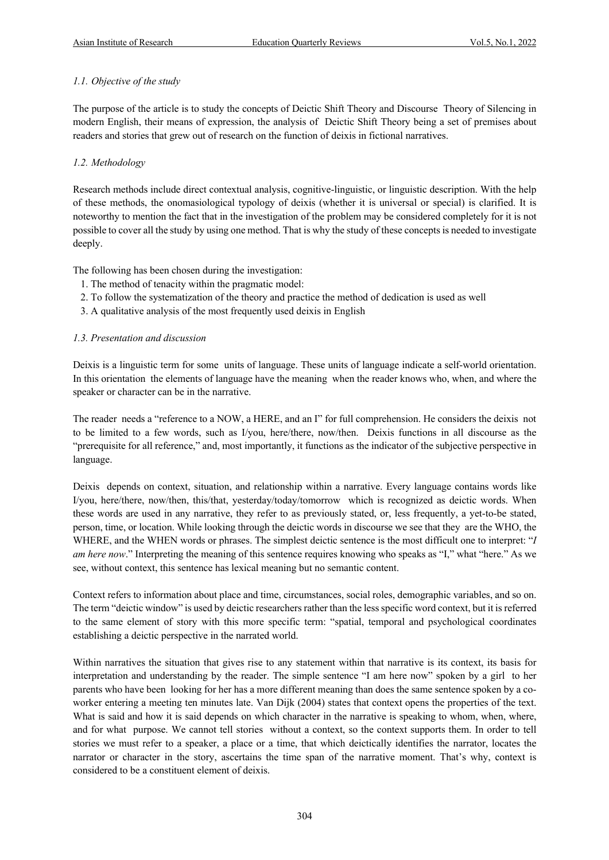#### *1.1. Objective of the study*

The purpose of the article is to study the concepts of Deictic Shift Theory and Discourse Theory of Silencing in modern English, their means of expression, the analysis of Deictic Shift Theory being a set of premises about readers and stories that grew out of research on the function of deixis in fictional narratives.

#### *1.2. Methodology*

Research methods include direct contextual analysis, cognitive-linguistic, or linguistic description. With the help of these methods, the onomasiological typology of deixis (whether it is universal or special) is clarified. It is noteworthy to mention the fact that in the investigation of the problem may be considered completely for it is not possible to cover all the study by using one method. That is why the study of these concepts is needed to investigate deeply.

The following has been chosen during the investigation:

- 1. The method of tenacity within the pragmatic model:
- 2. To follow the systematization of the theory and practice the method of dedication is used as well
- 3. A qualitative analysis of the most frequently used deixis in English

#### *1.3. Presentation and discussion*

Deixis is a linguistic term for some units of language. These units of language indicate a self-world orientation. In this orientation the elements of language have the meaning when the reader knows who, when, and where the speaker or character can be in the narrative.

The reader needs a "reference to a NOW, a HERE, and an I" for full comprehension. He considers the deixis not to be limited to a few words, such as I/you, here/there, now/then. Deixis functions in all discourse as the "prerequisite for all reference," and, most importantly, it functions as the indicator of the subjective perspective in language.

Deixis depends on context, situation, and relationship within a narrative. Every language contains words like I/you, here/there, now/then, this/that, yesterday/today/tomorrow which is recognized as deictic words. When these words are used in any narrative, they refer to as previously stated, or, less frequently, a yet-to-be stated, person, time, or location. While looking through the deictic words in discourse we see that they are the WHO, the WHERE, and the WHEN words or phrases. The simplest deictic sentence is the most difficult one to interpret: "*I am here now*." Interpreting the meaning of this sentence requires knowing who speaks as "I," what "here." As we see, without context, this sentence has lexical meaning but no semantic content.

Context refers to information about place and time, circumstances, social roles, demographic variables, and so on. The term "deictic window" is used by deictic researchers rather than the less specific word context, but it is referred to the same element of story with this more specific term: "spatial, temporal and psychological coordinates establishing a deictic perspective in the narrated world.

Within narratives the situation that gives rise to any statement within that narrative is its context, its basis for interpretation and understanding by the reader. The simple sentence "I am here now" spoken by a girl to her parents who have been looking for her has a more different meaning than does the same sentence spoken by a coworker entering a meeting ten minutes late. Van Dijk (2004) states that context opens the properties of the text. What is said and how it is said depends on which character in the narrative is speaking to whom, when, where, and for what purpose. We cannot tell stories without a context, so the context supports them. In order to tell stories we must refer to a speaker, a place or a time, that which deictically identifies the narrator, locates the narrator or character in the story, ascertains the time span of the narrative moment. That's why, context is considered to be a constituent element of deixis.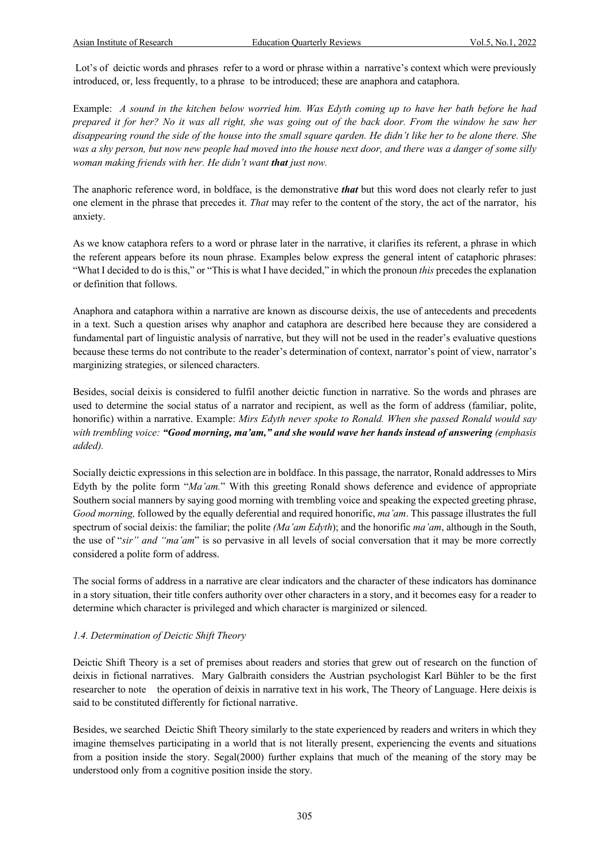Lot's of deictic words and phrases refer to a word or phrase within a narrative's context which were previously introduced, or, less frequently, to a phrase to be introduced; these are anaphora and cataphora.

Example: *A sound in the kitchen below worried him. Was Edyth coming up to have her bath before he had prepared it for her? No it was all right, she was going out of the back door. From the window he saw her disappearing round the side of the house into the small square qarden. He didn't like her to be alone there. She was a shy person, but now new people had moved into the house next door, and there was a danger of some silly woman making friends with her. He didn't want that just now.* 

The anaphoric reference word, in boldface, is the demonstrative *that* but this word does not clearly refer to just one element in the phrase that precedes it. *That* may refer to the content of the story, the act of the narrator, his anxiety.

As we know cataphora refers to a word or phrase later in the narrative, it clarifies its referent, a phrase in which the referent appears before its noun phrase. Examples below express the general intent of cataphoric phrases: "What I decided to do is this," or "This is what I have decided," in which the pronoun *this* precedes the explanation or definition that follows.

Anaphora and cataphora within a narrative are known as discourse deixis, the use of antecedents and precedents in a text. Such a question arises why anaphor and cataphora are described here because they are considered a fundamental part of linguistic analysis of narrative, but they will not be used in the reader's evaluative questions because these terms do not contribute to the reader's determination of context, narrator's point of view, narrator's marginizing strategies, or silenced characters.

Besides, social deixis is considered to fulfil another deictic function in narrative. So the words and phrases are used to determine the social status of a narrator and recipient, as well as the form of address (familiar, polite, honorific) within a narrative. Example: *Mirs Edyth never spoke to Ronald. When she passed Ronald would say with trembling voice: "Good morning, ma'am," and she would wave her hands instead of answering (emphasis added).*

Socially deictic expressions in this selection are in boldface. In this passage, the narrator, Ronald addresses to Mirs Edyth by the polite form "*Ma'am.*" With this greeting Ronald shows deference and evidence of appropriate Southern social manners by saying good morning with trembling voice and speaking the expected greeting phrase, *Good morning,* followed by the equally deferential and required honorific, *ma'am*. This passage illustrates the full spectrum of social deixis: the familiar; the polite *(Ma'am Edyth*); and the honorific *ma'am*, although in the South, the use of "*sir" and "ma'am*" is so pervasive in all levels of social conversation that it may be more correctly considered a polite form of address.

The social forms of address in a narrative are clear indicators and the character of these indicators has dominance in a story situation, their title confers authority over other characters in a story, and it becomes easy for a reader to determine which character is privileged and which character is marginized or silenced.

#### *1.4. Determination of Deictic Shift Theory*

Deictic Shift Theory is a set of premises about readers and stories that grew out of research on the function of deixis in fictional narratives. Mary Galbraith considers the Austrian psychologist Karl Bühler to be the first researcher to note the operation of deixis in narrative text in his work, The Theory of Language. Here deixis is said to be constituted differently for fictional narrative.

Besides, we searched Deictic Shift Theory similarly to the state experienced by readers and writers in which they imagine themselves participating in a world that is not literally present, experiencing the events and situations from a position inside the story. Segal(2000) further explains that much of the meaning of the story may be understood only from a cognitive position inside the story.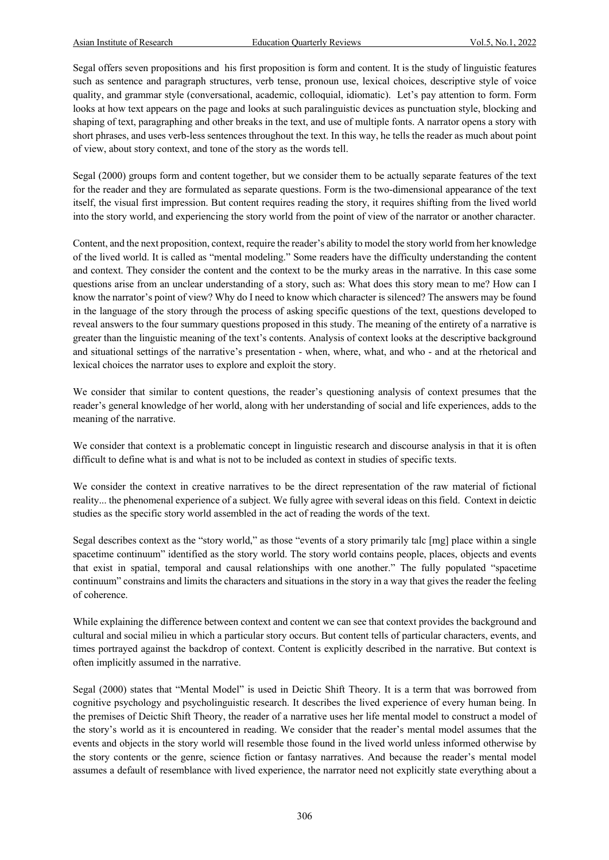Segal offers seven propositions and his first proposition is form and content. It is the study of linguistic features such as sentence and paragraph structures, verb tense, pronoun use, lexical choices, descriptive style of voice quality, and grammar style (conversational, academic, colloquial, idiomatic). Let's pay attention to form. Form looks at how text appears on the page and looks at such paralinguistic devices as punctuation style, blocking and shaping of text, paragraphing and other breaks in the text, and use of multiple fonts. A narrator opens a story with short phrases, and uses verb-less sentences throughout the text. In this way, he tells the reader as much about point of view, about story context, and tone of the story as the words tell.

Segal (2000) groups form and content together, but we consider them to be actually separate features of the text for the reader and they are formulated as separate questions. Form is the two-dimensional appearance of the text itself, the visual first impression. But content requires reading the story, it requires shifting from the lived world into the story world, and experiencing the story world from the point of view of the narrator or another character.

Content, and the next proposition, context, require the reader's ability to model the story world from her knowledge of the lived world. It is called as "mental modeling." Some readers have the difficulty understanding the content and context. They consider the content and the context to be the murky areas in the narrative. In this case some questions arise from an unclear understanding of a story, such as: What does this story mean to me? How can I know the narrator's point of view? Why do I need to know which character is silenced? The answers may be found in the language of the story through the process of asking specific questions of the text, questions developed to reveal answers to the four summary questions proposed in this study. The meaning of the entirety of a narrative is greater than the linguistic meaning of the text's contents. Analysis of context looks at the descriptive background and situational settings of the narrative's presentation - when, where, what, and who - and at the rhetorical and lexical choices the narrator uses to explore and exploit the story.

We consider that similar to content questions, the reader's questioning analysis of context presumes that the reader's general knowledge of her world, along with her understanding of social and life experiences, adds to the meaning of the narrative.

We consider that context is a problematic concept in linguistic research and discourse analysis in that it is often difficult to define what is and what is not to be included as context in studies of specific texts.

We consider the context in creative narratives to be the direct representation of the raw material of fictional reality... the phenomenal experience of a subject. We fully agree with several ideas on this field. Context in deictic studies as the specific story world assembled in the act of reading the words of the text.

Segal describes context as the "story world," as those "events of a story primarily talc [mg] place within a single spacetime continuum" identified as the story world. The story world contains people, places, objects and events that exist in spatial, temporal and causal relationships with one another." The fully populated "spacetime continuum" constrains and limits the characters and situations in the story in a way that gives the reader the feeling of coherence.

While explaining the difference between context and content we can see that context provides the background and cultural and social milieu in which a particular story occurs. But content tells of particular characters, events, and times portrayed against the backdrop of context. Content is explicitly described in the narrative. But context is often implicitly assumed in the narrative.

Segal (2000) states that "Mental Model" is used in Deictic Shift Theory. It is a term that was borrowed from cognitive psychology and psycholinguistic research. It describes the lived experience of every human being. In the premises of Deictic Shift Theory, the reader of a narrative uses her life mental model to construct a model of the story's world as it is encountered in reading. We consider that the reader's mental model assumes that the events and objects in the story world will resemble those found in the lived world unless informed otherwise by the story contents or the genre, science fiction or fantasy narratives. And because the reader's mental model assumes a default of resemblance with lived experience, the narrator need not explicitly state everything about a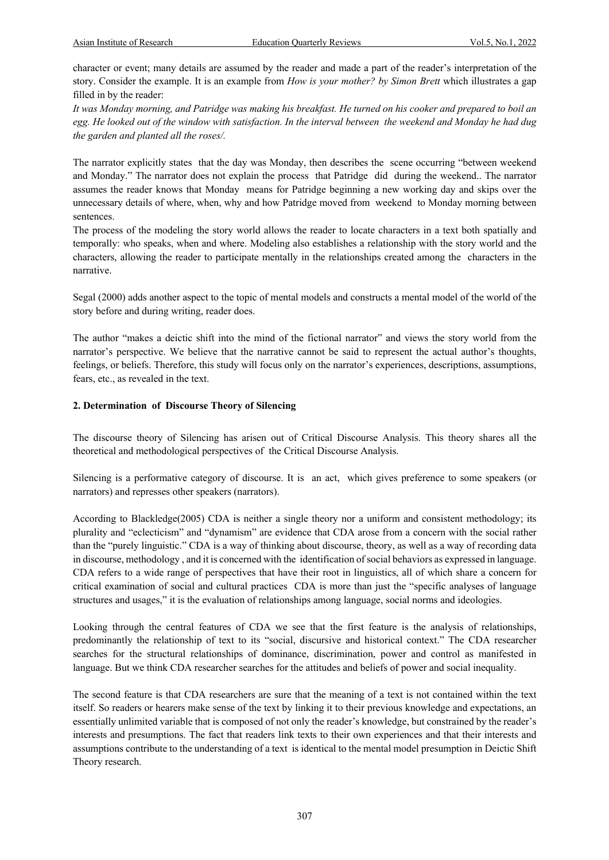character or event; many details are assumed by the reader and made a part of the reader's interpretation of the story. Consider the example. It is an example from *How is your mother? by Simon Brett* which illustrates a gap filled in by the reader:

*It was Monday morning, and Patridge was making his breakfast. He turned on his cooker and prepared to boil an egg. He looked out of the window with satisfaction. In the interval between the weekend and Monday he had dug the garden and planted all the roses/.*

The narrator explicitly states that the day was Monday, then describes the scene occurring "between weekend and Monday." The narrator does not explain the process that Patridge did during the weekend.. The narrator assumes the reader knows that Monday means for Patridge beginning a new working day and skips over the unnecessary details of where, when, why and how Patridge moved from weekend to Monday morning between sentences.

The process of the modeling the story world allows the reader to locate characters in a text both spatially and temporally: who speaks, when and where. Modeling also establishes a relationship with the story world and the characters, allowing the reader to participate mentally in the relationships created among the characters in the narrative.

Segal (2000) adds another aspect to the topic of mental models and constructs a mental model of the world of the story before and during writing, reader does.

The author "makes a deictic shift into the mind of the fictional narrator" and views the story world from the narrator's perspective. We believe that the narrative cannot be said to represent the actual author's thoughts, feelings, or beliefs. Therefore, this study will focus only on the narrator's experiences, descriptions, assumptions, fears, etc., as revealed in the text.

#### **2. Determination of Discourse Theory of Silencing**

The discourse theory of Silencing has arisen out of Critical Discourse Analysis. This theory shares all the theoretical and methodological perspectives of the Critical Discourse Analysis.

Silencing is a performative category of discourse. It is an act, which gives preference to some speakers (or narrators) and represses other speakers (narrators).

According to Blackledge(2005) CDA is neither a single theory nor a uniform and consistent methodology; its plurality and "eclecticism" and "dynamism" are evidence that CDA arose from a concern with the social rather than the "purely linguistic." CDA is a way of thinking about discourse, theory, as well as a way of recording data in discourse, methodology , and it is concerned with the identification of social behaviors as expressed in language. CDA refers to a wide range of perspectives that have their root in linguistics, all of which share a concern for critical examination of social and cultural practices CDA is more than just the "specific analyses of language structures and usages," it is the evaluation of relationships among language, social norms and ideologies.

Looking through the central features of CDA we see that the first feature is the analysis of relationships, predominantly the relationship of text to its "social, discursive and historical context." The CDA researcher searches for the structural relationships of dominance, discrimination, power and control as manifested in language. But we think CDA researcher searches for the attitudes and beliefs of power and social inequality.

The second feature is that CDA researchers are sure that the meaning of a text is not contained within the text itself. So readers or hearers make sense of the text by linking it to their previous knowledge and expectations, an essentially unlimited variable that is composed of not only the reader's knowledge, but constrained by the reader's interests and presumptions. The fact that readers link texts to their own experiences and that their interests and assumptions contribute to the understanding of a text is identical to the mental model presumption in Deictic Shift Theory research.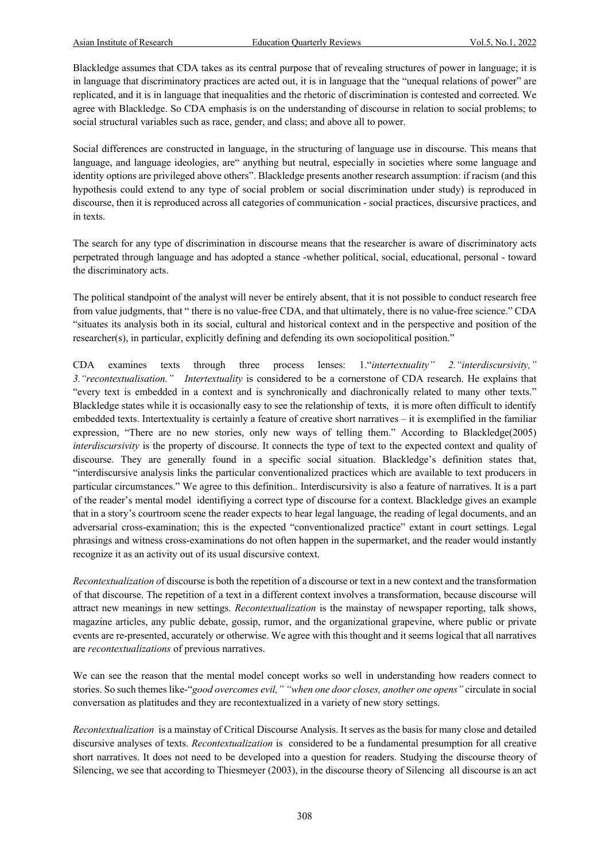Blackledge assumes that CDA takes as its central purpose that of revealing structures of power in language; it is in language that discriminatory practices are acted out, it is in language that the "unequal relations of power" are replicated, and it is in language that inequalities and the rhetoric of discrimination is contested and corrected. We agree with Blackledge. So CDA emphasis is on the understanding of discourse in relation to social problems; to social structural variables such as race, gender, and class; and above all to power.

Social differences are constructed in language, in the structuring of language use in discourse. This means that language, and language ideologies, are" anything but neutral, especially in societies where some language and identity options are privileged above others". Blackledge presents another research assumption: if racism (and this hypothesis could extend to any type of social problem or social discrimination under study) is reproduced in discourse, then it is reproduced across all categories of communication - social practices, discursive practices, and in texts.

The search for any type of discrimination in discourse means that the researcher is aware of discriminatory acts perpetrated through language and has adopted a stance -whether political, social, educational, personal - toward the discriminatory acts.

The political standpoint of the analyst will never be entirely absent, that it is not possible to conduct research free from value judgments, that " there is no value-free CDA, and that ultimately, there is no value-free science." CDA "situates its analysis both in its social, cultural and historical context and in the perspective and position of the researcher(s), in particular, explicitly defining and defending its own sociopolitical position."

CDA examines texts through three process lenses: 1."*intertextuality" 2."interdiscursivity," 3."recontextualisation." Intertextuality* is considered to be a cornerstone of CDA research. He explains that "every text is embedded in a context and is synchronically and diachronically related to many other texts." Blackledge states while it is occasionally easy to see the relationship of texts, it is more often difficult to identify embedded texts. Intertextuality is certainly a feature of creative short narratives – it is exemplified in the familiar expression, "There are no new stories, only new ways of telling them." According to Blackledge(2005) *interdiscursivity* is the property of discourse. It connects the type of text to the expected context and quality of discourse. They are generally found in a specific social situation. Blackledge's definition states that, "interdiscursive analysis links the particular conventionalized practices which are available to text producers in particular circumstances." We agree to this definition.. Interdiscursivity is also a feature of narratives. It is a part of the reader's mental model identifiying a correct type of discourse for a context. Blackledge gives an example that in a story's courtroom scene the reader expects to hear legal language, the reading of legal documents, and an adversarial cross-examination; this is the expected "conventionalized practice" extant in court settings. Legal phrasings and witness cross-examinations do not often happen in the supermarket, and the reader would instantly recognize it as an activity out of its usual discursive context.

*Recontextualization o*f discourse is both the repetition of a discourse or text in a new context and the transformation of that discourse. The repetition of a text in a different context involves a transformation, because discourse will attract new meanings in new settings. *Recontextualization* is the mainstay of newspaper reporting, talk shows, magazine articles, any public debate, gossip, rumor, and the organizational grapevine, where public or private events are re-presented, accurately or otherwise. We agree with this thought and it seems logical that all narratives are *recontextualizations* of previous narratives.

We can see the reason that the mental model concept works so well in understanding how readers connect to stories. So such themes like-"*good overcomes evil," "when one door closes, another one opens"* circulate in social conversation as platitudes and they are recontextualized in a variety of new story settings.

*Recontextualization* is a mainstay of Critical Discourse Analysis. It serves as the basis for many close and detailed discursive analyses of texts. *Recontextualization* is considered to be a fundamental presumption for all creative short narratives. It does not need to be developed into a question for readers. Studying the discourse theory of Silencing, we see that according to Thiesmeyer (2003), in the discourse theory of Silencing all discourse is an act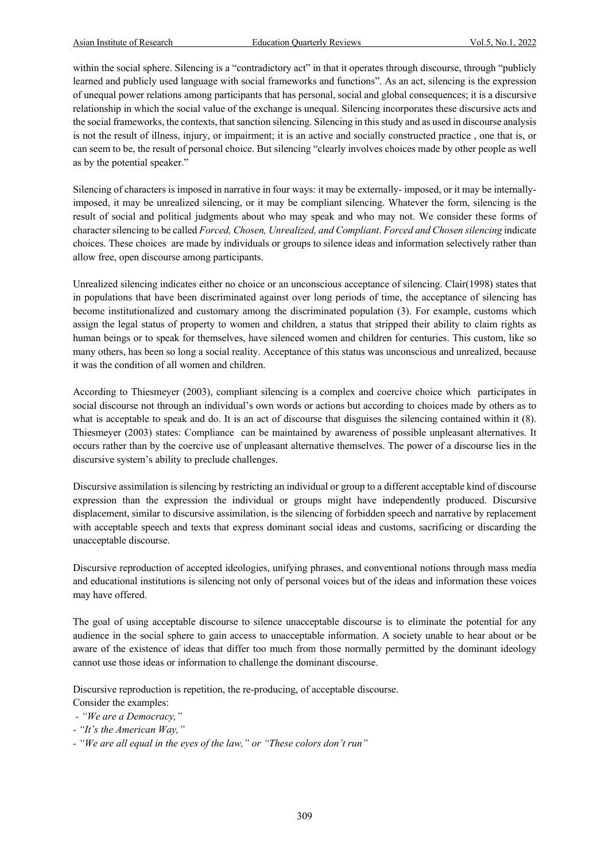within the social sphere. Silencing is a "contradictory act" in that it operates through discourse, through "publicly learned and publicly used language with social frameworks and functions". As an act, silencing is the expression of unequal power relations among participants that has personal, social and global consequences; it is a discursive relationship in which the social value of the exchange is unequal. Silencing incorporates these discursive acts and the social frameworks, the contexts, that sanction silencing. Silencing in this study and as used in discourse analysis is not the result of illness, injury, or impairment; it is an active and socially constructed practice , one that is, or can seem to be, the result of personal choice. But silencing "clearly involves choices made by other people as well as by the potential speaker."

Silencing of characters is imposed in narrative in four ways: it may be externally- imposed, or it may be internallyimposed, it may be unrealized silencing, or it may be compliant silencing. Whatever the form, silencing is the result of social and political judgments about who may speak and who may not. We consider these forms of character silencing to be called *Forced, Chosen, Unrealized, and Compliant*. *Forced and Chosen silencing* indicate choices. These choices are made by individuals or groups to silence ideas and information selectively rather than allow free, open discourse among participants.

Unrealized silencing indicates either no choice or an unconscious acceptance of silencing. Clair(1998) states that in populations that have been discriminated against over long periods of time, the acceptance of silencing has become institutionalized and customary among the discriminated population (3). For example, customs which assign the legal status of property to women and children, a status that stripped their ability to claim rights as human beings or to speak for themselves, have silenced women and children for centuries. This custom, like so many others, has been so long a social reality. Acceptance of this status was unconscious and unrealized, because it was the condition of all women and children.

According to Thiesmeyer (2003), compliant silencing is a complex and coercive choice which participates in social discourse not through an individual's own words or actions but according to choices made by others as to what is acceptable to speak and do. It is an act of discourse that disguises the silencing contained within it  $(8)$ . Thiesmeyer (2003) states: Compliance can be maintained by awareness of possible unpleasant alternatives. It occurs rather than by the coercive use of unpleasant alternative themselves. The power of a discourse lies in the discursive system's ability to preclude challenges.

Discursive assimilation is silencing by restricting an individual or group to a different acceptable kind of discourse expression than the expression the individual or groups might have independently produced. Discursive displacement, similar to discursive assimilation, is the silencing of forbidden speech and narrative by replacement with acceptable speech and texts that express dominant social ideas and customs, sacrificing or discarding the unacceptable discourse.

Discursive reproduction of accepted ideologies, unifying phrases, and conventional notions through mass media and educational institutions is silencing not only of personal voices but of the ideas and information these voices may have offered.

The goal of using acceptable discourse to silence unacceptable discourse is to eliminate the potential for any audience in the social sphere to gain access to unacceptable information. A society unable to hear about or be aware of the existence of ideas that differ too much from those normally permitted by the dominant ideology cannot use those ideas or information to challenge the dominant discourse.

Discursive reproduction is repetition, the re-producing, of acceptable discourse.

Consider the examples:

- *- "We are a Democracy,"*
- *- "It's the American Way,"*
- *- "We are all equal in the eyes of the law," or "These colors don't run"*